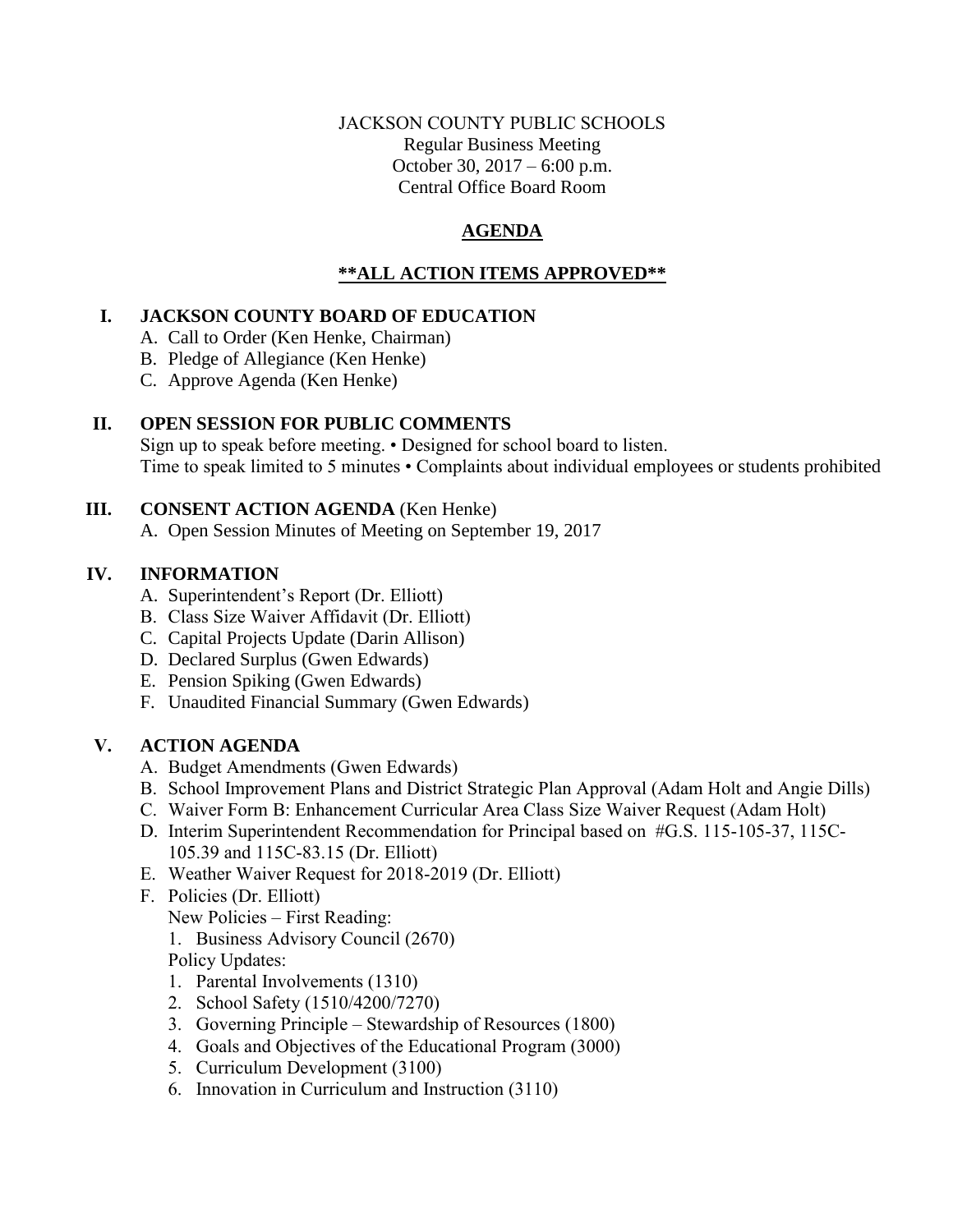## JACKSON COUNTY PUBLIC SCHOOLS Regular Business Meeting October 30, 2017 – 6:00 p.m. Central Office Board Room

# **AGENDA**

# **\*\*ALL ACTION ITEMS APPROVED\*\***

## **I. JACKSON COUNTY BOARD OF EDUCATION**

- A. Call to Order (Ken Henke, Chairman)
- B. Pledge of Allegiance (Ken Henke)
- C. Approve Agenda (Ken Henke)

## **II. OPEN SESSION FOR PUBLIC COMMENTS**

Sign up to speak before meeting. • Designed for school board to listen. Time to speak limited to 5 minutes • Complaints about individual employees or students prohibited

## **III. CONSENT ACTION AGENDA** (Ken Henke)

A. Open Session Minutes of Meeting on September 19, 2017

## **IV. INFORMATION**

- A. Superintendent's Report (Dr. Elliott)
- B. Class Size Waiver Affidavit (Dr. Elliott)
- C. Capital Projects Update (Darin Allison)
- D. Declared Surplus (Gwen Edwards)
- E. Pension Spiking (Gwen Edwards)
- F. Unaudited Financial Summary (Gwen Edwards)

# **V. ACTION AGENDA**

- A. Budget Amendments (Gwen Edwards)
- B. School Improvement Plans and District Strategic Plan Approval (Adam Holt and Angie Dills)
- C. Waiver Form B: Enhancement Curricular Area Class Size Waiver Request (Adam Holt)
- D. Interim Superintendent Recommendation for Principal based on #G.S. 115-105-37, 115C-105.39 and 115C-83.15 (Dr. Elliott)
- E. Weather Waiver Request for 2018-2019 (Dr. Elliott)
- F. Policies (Dr. Elliott)
	- New Policies First Reading:
	- 1. Business Advisory Council (2670)

Policy Updates:

- 1. Parental Involvements (1310)
- 2. School Safety (1510/4200/7270)
- 3. Governing Principle Stewardship of Resources (1800)
- 4. Goals and Objectives of the Educational Program (3000)
- 5. Curriculum Development (3100)
- 6. Innovation in Curriculum and Instruction (3110)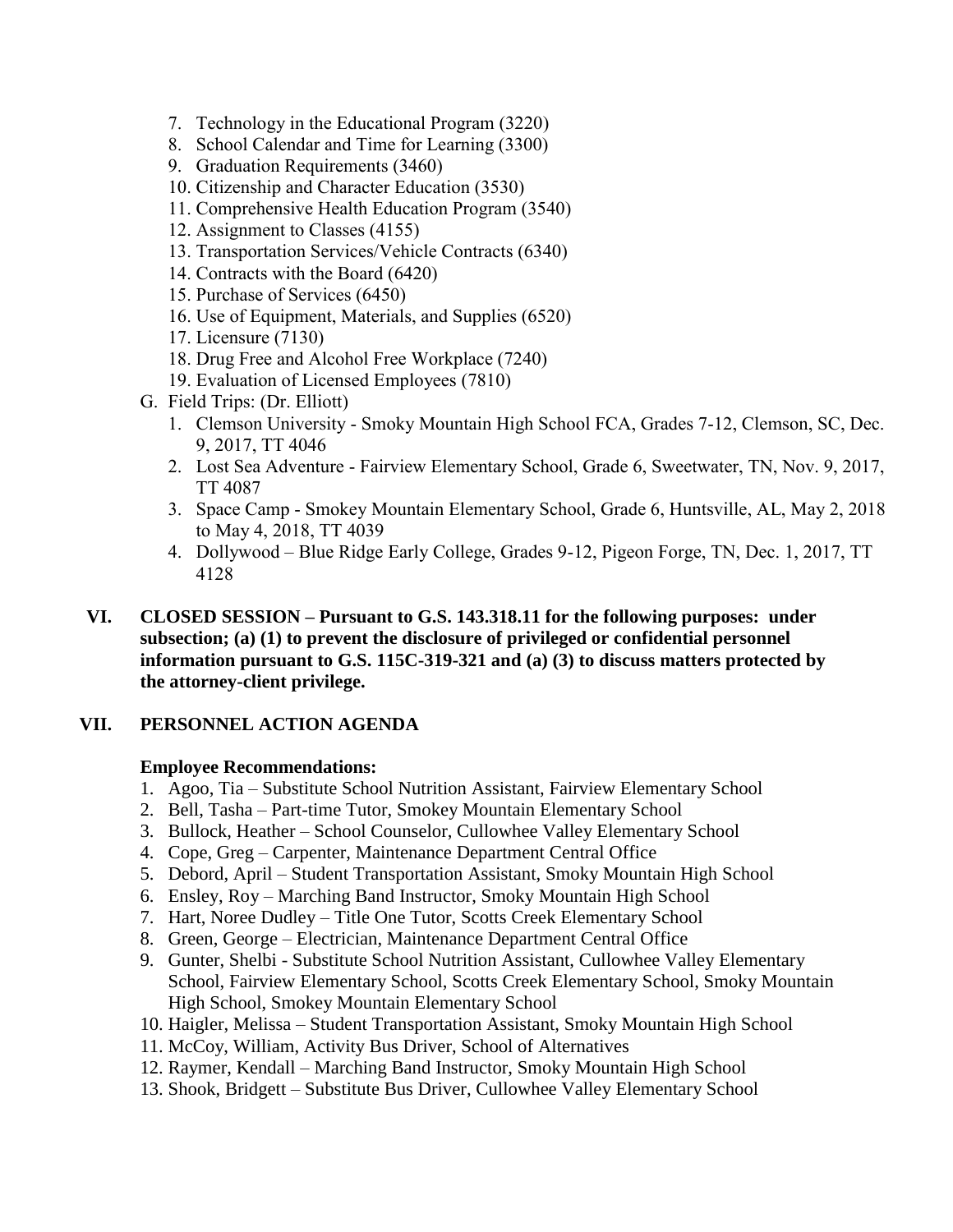- 7. Technology in the Educational Program (3220)
- 8. School Calendar and Time for Learning (3300)
- 9. Graduation Requirements (3460)
- 10. Citizenship and Character Education (3530)
- 11. Comprehensive Health Education Program (3540)
- 12. Assignment to Classes (4155)
- 13. Transportation Services/Vehicle Contracts (6340)
- 14. Contracts with the Board (6420)
- 15. Purchase of Services (6450)
- 16. Use of Equipment, Materials, and Supplies (6520)
- 17. Licensure (7130)
- 18. Drug Free and Alcohol Free Workplace (7240)
- 19. Evaluation of Licensed Employees (7810)
- G. Field Trips: (Dr. Elliott)
	- 1. Clemson University Smoky Mountain High School FCA, Grades 7-12, Clemson, SC, Dec. 9, 2017, TT 4046
	- 2. Lost Sea Adventure Fairview Elementary School, Grade 6, Sweetwater, TN, Nov. 9, 2017, TT 4087
	- 3. Space Camp Smokey Mountain Elementary School, Grade 6, Huntsville, AL, May 2, 2018 to May 4, 2018, TT 4039
	- 4. Dollywood Blue Ridge Early College, Grades 9-12, Pigeon Forge, TN, Dec. 1, 2017, TT 4128
- **VI. CLOSED SESSION – Pursuant to G.S. 143.318.11 for the following purposes: under subsection; (a) (1) to prevent the disclosure of privileged or confidential personnel information pursuant to G.S. 115C-319-321 and (a) (3) to discuss matters protected by the attorney-client privilege.**

## **VII. PERSONNEL ACTION AGENDA**

#### **Employee Recommendations:**

- 1. Agoo, Tia Substitute School Nutrition Assistant, Fairview Elementary School
- 2. Bell, Tasha Part-time Tutor, Smokey Mountain Elementary School
- 3. Bullock, Heather School Counselor, Cullowhee Valley Elementary School
- 4. Cope, Greg Carpenter, Maintenance Department Central Office
- 5. Debord, April Student Transportation Assistant, Smoky Mountain High School
- 6. Ensley, Roy Marching Band Instructor, Smoky Mountain High School
- 7. Hart, Noree Dudley Title One Tutor, Scotts Creek Elementary School
- 8. Green, George Electrician, Maintenance Department Central Office
- 9. Gunter, Shelbi Substitute School Nutrition Assistant, Cullowhee Valley Elementary School, Fairview Elementary School, Scotts Creek Elementary School, Smoky Mountain High School, Smokey Mountain Elementary School
- 10. Haigler, Melissa Student Transportation Assistant, Smoky Mountain High School
- 11. McCoy, William, Activity Bus Driver, School of Alternatives
- 12. Raymer, Kendall Marching Band Instructor, Smoky Mountain High School
- 13. Shook, Bridgett Substitute Bus Driver, Cullowhee Valley Elementary School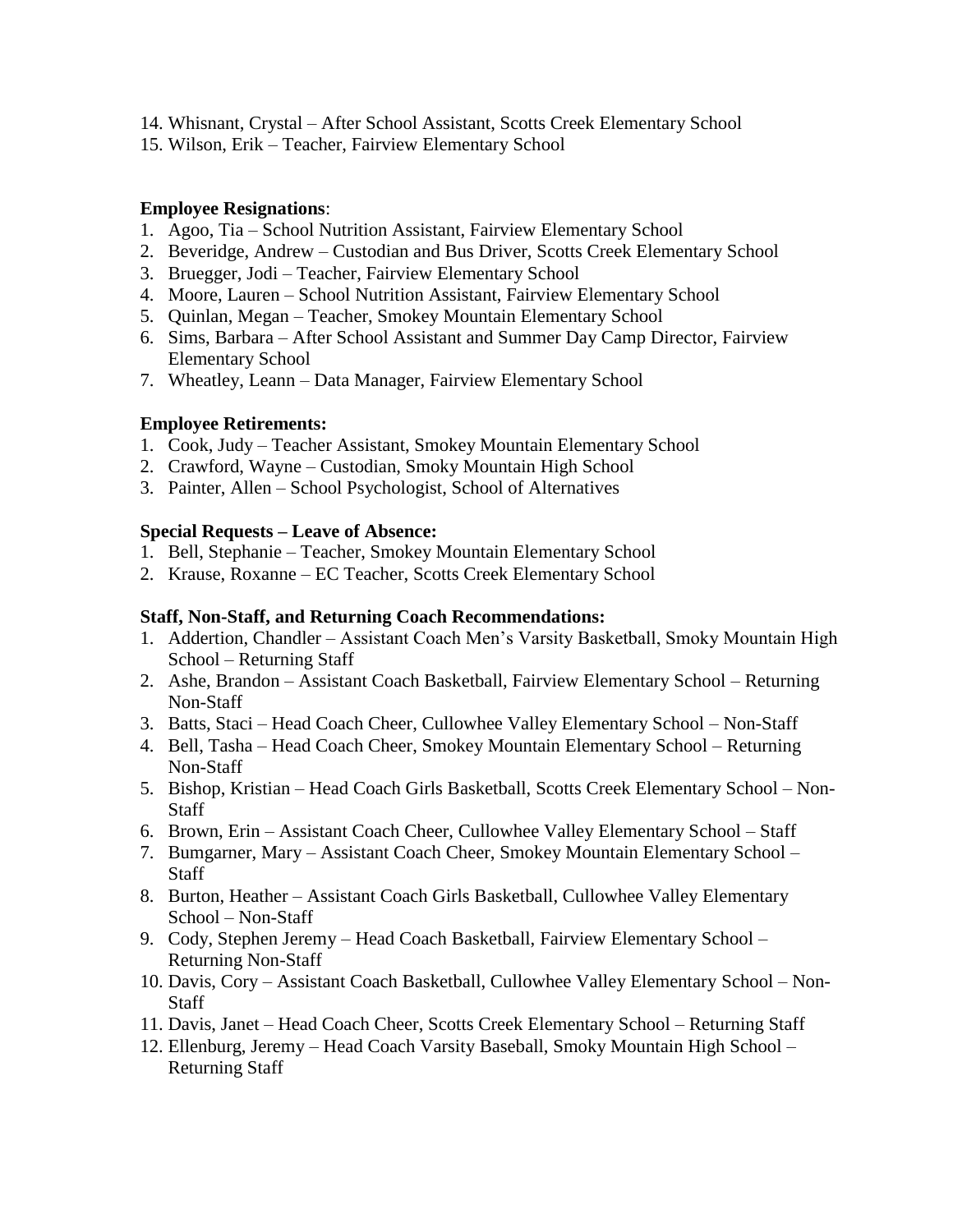- 14. Whisnant, Crystal After School Assistant, Scotts Creek Elementary School
- 15. Wilson, Erik Teacher, Fairview Elementary School

## **Employee Resignations**:

- 1. Agoo, Tia School Nutrition Assistant, Fairview Elementary School
- 2. Beveridge, Andrew Custodian and Bus Driver, Scotts Creek Elementary School
- 3. Bruegger, Jodi Teacher, Fairview Elementary School
- 4. Moore, Lauren School Nutrition Assistant, Fairview Elementary School
- 5. Quinlan, Megan Teacher, Smokey Mountain Elementary School
- 6. Sims, Barbara After School Assistant and Summer Day Camp Director, Fairview Elementary School
- 7. Wheatley, Leann Data Manager, Fairview Elementary School

## **Employee Retirements:**

- 1. Cook, Judy Teacher Assistant, Smokey Mountain Elementary School
- 2. Crawford, Wayne Custodian, Smoky Mountain High School
- 3. Painter, Allen School Psychologist, School of Alternatives

## **Special Requests – Leave of Absence:**

- 1. Bell, Stephanie Teacher, Smokey Mountain Elementary School
- 2. Krause, Roxanne EC Teacher, Scotts Creek Elementary School

#### **Staff, Non-Staff, and Returning Coach Recommendations:**

- 1. Addertion, Chandler Assistant Coach Men's Varsity Basketball, Smoky Mountain High School – Returning Staff
- 2. Ashe, Brandon Assistant Coach Basketball, Fairview Elementary School Returning Non-Staff
- 3. Batts, Staci Head Coach Cheer, Cullowhee Valley Elementary School Non-Staff
- 4. Bell, Tasha Head Coach Cheer, Smokey Mountain Elementary School Returning Non-Staff
- 5. Bishop, Kristian Head Coach Girls Basketball, Scotts Creek Elementary School Non-**Staff**
- 6. Brown, Erin Assistant Coach Cheer, Cullowhee Valley Elementary School Staff
- 7. Bumgarner, Mary Assistant Coach Cheer, Smokey Mountain Elementary School **Staff**
- 8. Burton, Heather Assistant Coach Girls Basketball, Cullowhee Valley Elementary School – Non-Staff
- 9. Cody, Stephen Jeremy Head Coach Basketball, Fairview Elementary School Returning Non-Staff
- 10. Davis, Cory Assistant Coach Basketball, Cullowhee Valley Elementary School Non-**Staff**
- 11. Davis, Janet Head Coach Cheer, Scotts Creek Elementary School Returning Staff
- 12. Ellenburg, Jeremy Head Coach Varsity Baseball, Smoky Mountain High School Returning Staff